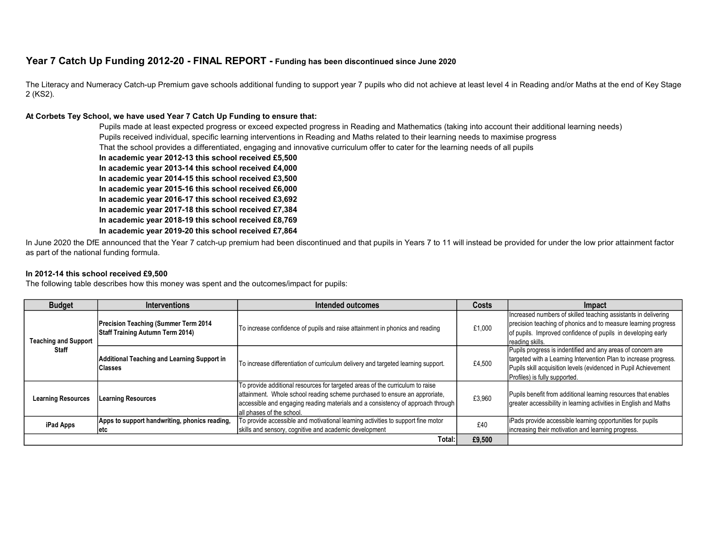# Year 7 Catch Up Funding 2012-20 - FINAL REPORT - Funding has been discontinued since June 2020

The Literacy and Numeracy Catch-up Premium gave schools additional funding to support year 7 pupils who did not achieve at least level 4 in Reading and/or Maths at the end of Key Stage 2 (KS2).

#### At Corbets Tey School, we have used Year 7 Catch Up Funding to ensure that:

Pupils made at least expected progress or exceed expected progress in Reading and Mathematics (taking into account their additional learning needs) Pupils received individual, specific learning interventions in Reading and Maths related to their learning needs to maximise progress That the school provides a differentiated, engaging and innovative curriculum offer to cater for the learning needs of all pupils

In academic year 2012-13 this school received £5,500

In academic year 2013-14 this school received £4,000

In academic year 2014-15 this school received £3,500

In academic year 2015-16 this school received £6,000

In academic year 2016-17 this school received £3,692

- In academic year 2017-18 this school received £7,384
- In academic year 2018-19 this school received £8,769
- In academic year 2019-20 this school received £7,864

In June 2020 the DfE announced that the Year 7 catch-up premium had been discontinued and that pupils in Years 7 to 11 will instead be provided for under the low prior attainment factor as part of the national funding formula.

#### In 2012-14 this school received £9,500

The following table describes how this money was spent and the outcomes/impact for pupils:

| <b>Budget</b>                               | <b>Interventions</b>                                                             | Intended outcomes                                                                                                                                                                                                                                                           | Costs  | Impact                                                                                                                                                                                                                              |
|---------------------------------------------|----------------------------------------------------------------------------------|-----------------------------------------------------------------------------------------------------------------------------------------------------------------------------------------------------------------------------------------------------------------------------|--------|-------------------------------------------------------------------------------------------------------------------------------------------------------------------------------------------------------------------------------------|
| <b>Teaching and Support</b><br><b>Staff</b> | Precision Teaching (Summer Term 2014)<br><b>Staff Training Autumn Term 2014)</b> | To increase confidence of pupils and raise attainment in phonics and reading                                                                                                                                                                                                | £1,000 | Increased numbers of skilled teaching assistants in delivering<br>precision teaching of phonics and to measure learning progress<br>of pupils. Improved confidence of pupils in developing early<br>reading skills.                 |
|                                             | <b>Additional Teaching and Learning Support in</b><br><b>Classes</b>             | To increase differentiation of curriculum delivery and targeted learning support.                                                                                                                                                                                           | £4,500 | Pupils progress is indentified and any areas of concern are<br>targeted with a Learning Intervention Plan to increase progress.<br>Pupils skill acquisition levels (evidenced in Pupil Achievement<br>Profiles) is fully supported. |
| <b>Learning Resources</b>                   | <b>Learning Resources</b>                                                        | To provide additional resources for targeted areas of the curriculum to raise<br>attainment. Whole school reading scheme purchased to ensure an approriate,<br>accessible and engaging reading materials and a consistency of approach through<br>all phases of the school. | £3,960 | Pupils benefit from additional learning resources that enables<br>greater accessibility in learning activities in English and Maths                                                                                                 |
| iPad Apps                                   | Apps to support handwriting, phonics reading,<br>letc                            | To provide accessible and motivational learning activities to support fine motor<br>skills and sensory, cognitive and academic development                                                                                                                                  | £40    | liPads provide accessible learning opportunities for pupils<br>increasing their motivation and learning progress.                                                                                                                   |
| Total: I                                    |                                                                                  |                                                                                                                                                                                                                                                                             | £9,500 |                                                                                                                                                                                                                                     |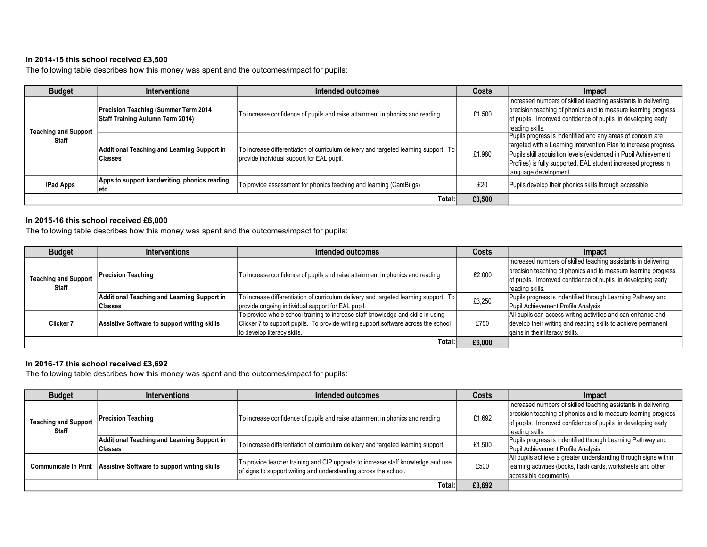## In 2014-15 this school received £3,500

The following table describes how this money was spent and the outcomes/impact for pupils:

| <b>Budget</b>                        | <b>Interventions</b>                                                                    | Intended outcomes                                                                                                                   | Costs  | Impact                                                                                                                                                                                                                                                                                          |
|--------------------------------------|-----------------------------------------------------------------------------------------|-------------------------------------------------------------------------------------------------------------------------------------|--------|-------------------------------------------------------------------------------------------------------------------------------------------------------------------------------------------------------------------------------------------------------------------------------------------------|
| <b>Teaching and Support</b><br>Staff | <b>Precision Teaching (Summer Term 2014)</b><br><b>Staff Training Autumn Term 2014)</b> | To increase confidence of pupils and raise attainment in phonics and reading                                                        | £1,500 | Increased numbers of skilled teaching assistants in delivering<br>precision teaching of phonics and to measure learning progress<br>of pupils. Improved confidence of pupils in developing early<br>reading skills.                                                                             |
|                                      | Additional Teaching and Learning Support in<br><b>Classes</b>                           | To increase differentiation of curriculum delivery and targeted learning support. To  <br>provide individual support for EAL pupil. | £1,980 | Pupils progress is indentified and any areas of concern are<br>targeted with a Learning Intervention Plan to increase progress.<br>Pupils skill acquisition levels (evidenced in Pupil Achievement<br>Profiles) is fully supported. EAL student increased progress in<br>llanguage development. |
| iPad Apps                            | Apps to support handwriting, phonics reading,<br>letc                                   | To provide assessment for phonics teaching and learning (CamBugs)                                                                   | £20    | Pupils develop their phonics skills through accessible                                                                                                                                                                                                                                          |
| Total: l                             |                                                                                         |                                                                                                                                     | £3,500 |                                                                                                                                                                                                                                                                                                 |

## In 2015-16 this school received £6,000

The following table describes how this money was spent and the outcomes/impact for pupils:

| <b>Budget</b>                               | <b>Interventions</b>                         | Intended outcomes                                                                    | Costs  | <b>Impact</b>                                                  |
|---------------------------------------------|----------------------------------------------|--------------------------------------------------------------------------------------|--------|----------------------------------------------------------------|
| <b>Teaching and Support</b><br><b>Staff</b> |                                              |                                                                                      | £2,000 | Increased numbers of skilled teaching assistants in delivering |
|                                             | Precision Teaching                           | To increase confidence of pupils and raise attainment in phonics and reading         |        | precision teaching of phonics and to measure learning progress |
|                                             |                                              |                                                                                      |        | of pupils. Improved confidence of pupils in developing early   |
|                                             |                                              |                                                                                      |        | reading skills.                                                |
|                                             | Additional Teaching and Learning Support in  | To increase differentiation of curriculum delivery and targeted learning support. To | £3,250 | Pupils progress is indentified through Learning Pathway and    |
|                                             | <b>Classes</b>                               | provide ongoing individual support for EAL pupil.                                    |        | Pupil Achievement Profile Analysis                             |
| Clicker 7                                   | Assistive Software to support writing skills | To provide whole school training to increase staff knowledge and skills in using     | £750   | All pupils can access writing activities and can enhance and   |
|                                             |                                              | Clicker 7 to support pupils. To provide writing support software across the school   |        | develop their writing and reading skills to achieve permanent  |
|                                             |                                              | to develop literacy skills.                                                          |        | gains in their literacy skills.                                |
|                                             |                                              | Total:                                                                               | £6.000 |                                                                |

### In 2016-17 this school received £3,692

The following table describes how this money was spent and the outcomes/impact for pupils:

| <b>Budget</b>                               | <b>Interventions</b>                                              | Intended outcomes                                                                                                                                   | Costs  | Impact                                                                                                                                                                                                              |
|---------------------------------------------|-------------------------------------------------------------------|-----------------------------------------------------------------------------------------------------------------------------------------------------|--------|---------------------------------------------------------------------------------------------------------------------------------------------------------------------------------------------------------------------|
| <b>Teaching and Support</b><br><b>Staff</b> | <b>Precision Teaching</b>                                         | To increase confidence of pupils and raise attainment in phonics and reading                                                                        | £1,692 | Increased numbers of skilled teaching assistants in delivering<br>precision teaching of phonics and to measure learning progress<br>of pupils. Improved confidence of pupils in developing early<br>reading skills. |
|                                             | Additional Teaching and Learning Support in<br><b>Classes</b>     | To increase differentiation of curriculum delivery and targeted learning support.                                                                   | £1,500 | Pupils progress is indentified through Learning Pathway and<br>Pupil Achievement Profile Analysis                                                                                                                   |
|                                             | Communicate In Print Assistive Software to support writing skills | To provide teacher training and CIP upgrade to increase staff knowledge and use<br>of signs to support writing and understanding across the school. | £500   | All pupils achieve a greater understanding through signs within<br>learning activities (books, flash cards, worksheets and other<br>accessible documents).                                                          |
| Total:                                      |                                                                   |                                                                                                                                                     | £3,692 |                                                                                                                                                                                                                     |